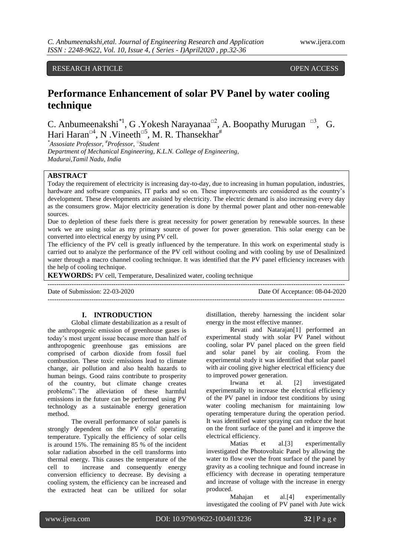# RESEARCH ARTICLE **CONSERVERS** OPEN ACCESS

# **Performance Enhancement of solar PV Panel by water cooling technique**

C. Anbumeenakshi<sup>\*1</sup>, G.Yokesh Narayanaa<sup>□2</sup>, A. Boopathy Murugan □<sup>3</sup>, G. Hari Haran<sup>□4</sup>, N . Vineeth<sup>□5</sup>, M. R. Thansekhar<sup>#</sup>

*\*Assosiate Professor, #Professor, □ Student Department of Mechanical Engineering, K.L.N. College of Engineering, Madurai,Tamil Nadu, India*

### **ABSTRACT**

Today the requirement of electricity is increasing day-to-day, due to increasing in human population, industries, hardware and software companies, IT parks and so on. These improvements are considered as the country's development. These developments are assisted by electricity. The electric demand is also increasing every day as the consumers grow. Major electricity generation is done by thermal power plant and other non-renewable sources.

Due to depletion of these fuels there is great necessity for power generation by renewable sources. In these work we are using solar as my primary source of power for power generation. This solar energy can be converted into electrical energy by using PV cell.

The efficiency of the PV cell is greatly influenced by the temperature. In this work on experimental study is carried out to analyze the performance of the PV cell without cooling and with cooling by use of Desalinized water through a macro channel cooling technique. It was identified that the PV panel efficiency increases with the help of cooling technique.

**KEYWORDS:** PV cell, Temperature, Desalinized water, cooling technique

--------------------------------------------------------------------------------------------------------------------------------------- Date of Submission: 22-03-2020 Date Of Acceptance: 08-04-2020 ---------------------------------------------------------------------------------------------------------------------------------------

# **I. INTRODUCTION**

Global climate destabilization as a result of the anthropogenic emission of greenhouse gases is today's most urgent issue because more than half of anthropogenic greenhouse gas emissions are comprised of carbon dioxide from fossil fuel combustion. These toxic emissions lead to climate change, air pollution and also health hazards to human beings. Good rains contribute to prosperity of the country, but climate change creates problems". The alleviation of these harmful emissions in the future can be performed using PV technology as a sustainable energy generation method.

The overall performance of solar panels is strongly dependent on the PV cells' operating temperature. Typically the efficiency of solar cells is around 15%. The remaining 85 % of the incident solar radiation absorbed in the cell transforms into thermal energy. This causes the temperature of the cell to increase and consequently energy conversion efficiency to decrease. By devising a cooling system, the efficiency can be increased and the extracted heat can be utilized for solar

distillation, thereby harnessing the incident solar energy in the most effective manner.

Revati and Natarajan[1] performed an experimental study with solar PV Panel without cooling, solar PV panel placed on the green field and solar panel by air cooling. From the experimental study it was identified that solar panel with air cooling give higher electrical efficiency due to improved power generation.

Irwana et al. [2] investigated experimentally to increase the electrical efficiency of the PV panel in indoor test conditions by using water cooling mechanism for maintaining low operating temperature during the operation period. It was identified water spraying can reduce the heat on the front surface of the panel and it improve the electrical efficiency.

Matias et al.[3] experimentally investigated the Photovoltaic Panel by allowing the water to flow over the front surface of the panel by gravity as a cooling technique and found increase in efficiency with decrease in operating temperature and increase of voltage with the increase in energy produced.

Mahajan et al.[4] experimentally investigated the cooling of PV panel with Jute wick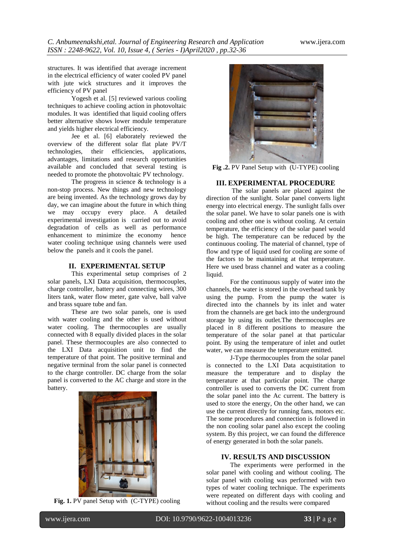structures. It was identified that average increment in the electrical efficiency of water cooled PV panel with jute wick structures and it improves the efficiency of PV panel

Yogesh et al. [5] reviewed various cooling techniques to achieve cooling action in photovoltaic modules. It was identified that liquid cooling offers better alternative shows lower module temperature and yields higher electrical efficiency.

Jee et al. [6] elaborately reviewed the overview of the different solar flat plate PV/T technologies, their efficiencies, applications, advantages, limitations and research opportunities available and concluded that several testing is needed to promote the photovoltaic PV technology.

The progress in science  $&$  technology is a non-stop process. New things and new technology are being invented. As the technology grows day by day, we can imagine about the future in which thing we may occupy every place. A detailed experimental investigation is carried out to avoid degradation of cells as well as performance enhancement to minimize the economy hence water cooling technique using channels were used below the panels and it cools the panel.

# **II. EXPERIMENTAL SETUP**

This experimental setup comprises of 2 solar panels, LXI Data acquisition, thermocouples, charge controller, battery and connecting wires, 300 liters tank, water flow meter, gate valve, ball valve and brass square tube and fan.

These are two solar panels, one is used with water cooling and the other is used without water cooling. The thermocouples are usually connected with 8 equally divided places in the solar panel. These thermocouples are also connected to the LXI Data acquisition unit to find the temperature of that point. The positive terminal and negative terminal from the solar panel is connected to the charge controller. DC charge from the solar panel is converted to the AC charge and store in the battery.



**Fig. 1.** PV panel Setup with (C-TYPE) cooling



**Fig .2.** PV Panel Setup with (U-TYPE) cooling

# **III. EXPERIMENTAL PROCEDURE**

The solar panels are placed against the direction of the sunlight. Solar panel converts light energy into electrical energy. The sunlight falls over the solar panel. We have to solar panels one is with cooling and other one is without cooling. At certain temperature, the efficiency of the solar panel would be high. The temperature can be reduced by the continuous cooling. The material of channel, type of flow and type of liquid used for cooling are some of the factors to be maintaining at that temperature. Here we used brass channel and water as a cooling liquid.

For the continuous supply of water into the channels, the water is stored in the overhead tank by using the pump. From the pump the water is directed into the channels by its inlet and water from the channels are get back into the underground storage by using its outlet.The thermocouples are placed in 8 different positions to measure the temperature of the solar panel at that particular point. By using the temperature of inlet and outlet water, we can measure the temperature emitted.

J-Type thermocouples from the solar panel is connected to the LXI Data acquistitation to measure the temperature and to display the temperature at that particular point. The charge controller is used to converts the DC current from the solar panel into the Ac current. The battery is used to store the energy, On the other hand, we can use the current directly for running fans, motors etc. The some procedures and connection is followed in the non cooling solar panel also except the cooling system. By this project, we can found the difference of energy generated in both the solar panels.

# **IV. RESULTS AND DISCUSSION**

The experiments were performed in the solar panel with cooling and without cooling. The solar panel with cooling was performed with two types of water cooling technique. The experiments were repeated on different days with cooling and without cooling and the results were compared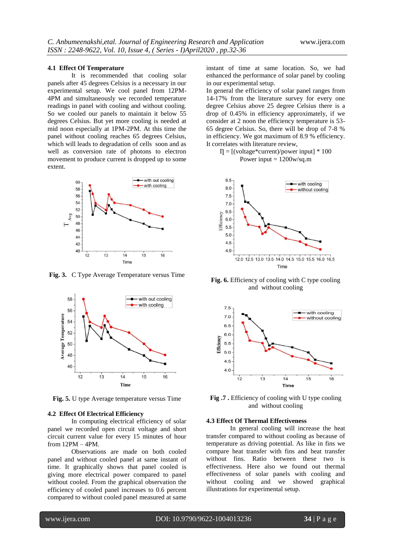#### **4.1 Effect Of Temperature**

It is recommended that cooling solar panels after 45 degrees Celsius is a necessary in our experimental setup. We cool panel from 12PM-4PM and simultaneously we recorded temperature readings in panel with cooling and without cooling. So we cooled our panels to maintain it below 55 degrees Celsius. But yet more cooling is needed at mid noon especially at 1PM-2PM. At this time the panel without cooling reaches 65 degrees Celsius, which will leads to degradation of cells soon and as well as conversion rate of photons to electron movement to produce current is dropped up to some extent.



**Fig. 3.** C Type Average Temperature versus Time



**Fig. 5.** U type Average temperature versus Time

#### **4.2 Effect Of Electrical Efficiency**

In computing electrical efficiency of solar panel we recorded open circuit voltage and short circuit current value for every 15 minutes of hour from 12PM – 4PM.

Observations are made on both cooled panel and without cooled panel at same instant of time. It graphically shows that panel cooled is giving more electrical power compared to panel without cooled. From the graphical observation the efficiency of cooled panel increases to 0.6 percent compared to without cooled panel measured at same

instant of time at same location. So, we had enhanced the performance of solar panel by cooling in our experimental setup.

In general the efficiency of solar panel ranges from 14-17% from the literature survey for every one degree Celsius above 25 degree Celsius there is a drop of 0.45% in efficiency approximately, if we consider at 2 noon the efficiency temperature is 53- 65 degree Celsius. So, there will be drop of 7-8 % in efficiency. We got maximum of 8.9 % efficiency. It correlates with literature review,





**Fig. 6.** Efficiency of cooling with C type cooling and without cooling



**Fig .7 .** Efficiency of cooling with U type cooling and without cooling

#### **4.3 Effect Of Thermal Effectiveness**

In general cooling will increase the heat transfer compared to without cooling as because of temperature as driving potential. As like in fins we compare heat transfer with fins and heat transfer without fins. Ratio between these two is effectiveness. Here also we found out thermal effectiveness of solar panels with cooling and without cooling and we showed graphical illustrations for experimental setup.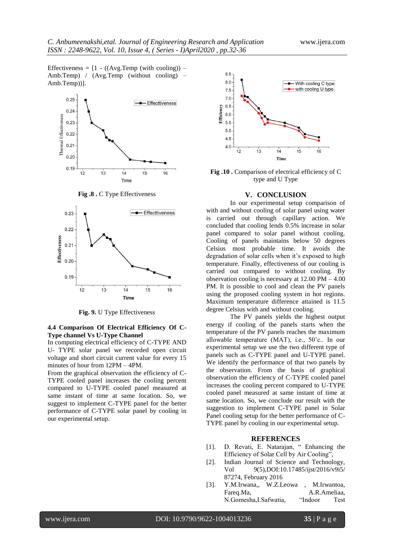Effectiveness =  $[1 - ((Avg.Temp (with cooling)) -$ Amb.Temp) / (Avg.Temp (without cooling) – Amb.Temp))].



**Fig .8 .** C Type Effectiveness



**Fig. 9.** U Type Effectiveness

#### **4.4 Comparison Of Electrical Efficiency Of C-Type channel Vs U-Type Channel**

In computing electrical efficiency of C-TYPE AND U- TYPE solar panel we recorded open circuit voltage and short circuit current value for every 15 minutes of hour from 12PM – 4PM.

From the graphical observation the efficiency of C-TYPE cooled panel increases the cooling percent compared to U-TYPE cooled panel measured at same instant of time at same location. So, we suggest to implement C-TYPE panel for the better performance of C-TYPE solar panel by cooling in our experimental setup.



**Fig .10 .** Comparison of electrical efficiency of C type and U Type

#### **V. CONCLUSION**

In our experimental setup comparison of with and without cooling of solar panel using water is carried out through capillary action. We concluded that cooling lends 0.5% increase in solar panel compared to solar panel without cooling. Cooling of panels maintains below 50 degrees Celsius most probable time. It avoids the degradation of solar cells when it's exposed to high temperature. Finally, effectiveness of our cooling is carried out compared to without cooling. By observation cooling is necessary at  $12.00 \text{ PM} - 4.00$ PM. It is possible to cool and clean the PV panels using the proposed cooling system in hot regions. Maximum temperature difference attained is 11.5 degree Celsius with and without cooling.

The PV panels yields the highest output energy if cooling of the panels starts when the temperature of the PV panels reaches the maximum allowable temperature (MAT), i.e., 50˚c.. In our experimental setup we use the two different type of panels such as C-TYPE panel and U-TYPE panel. We identify the performance of that two panels by the observation. From the basis of graphical observation the efficiency of C-TYPE cooled panel increases the cooling percent compared to U-TYPE cooled panel measured at same instant of time at same location. So, we conclude our result with the suggestion to implement C-TYPE panel in Solar Panel cooling setup for the better performance of C-TYPE panel by cooling in our experimental setup.

#### **REFERENCES**

- [1]. D. Revati, E. Natarajan, " Enhancing the Efficiency of Solar Cell by Air Cooling",
- [2]. Indian Journal of Science and Technology, Vol 9(5),DOI:10.17485/ijst/2016/v9i5/ 87274, February 2016
- [3]. Y.M.Irwana,, W.Z.Leowa , M.Irwantoa, Fareq.Ma, A.R.Ameliaa, N.Gomesha,I.Safwatia, "Indoor Test

www.ijera.com DOI: 10.9790/9622-1004013236 **35** | P a g e